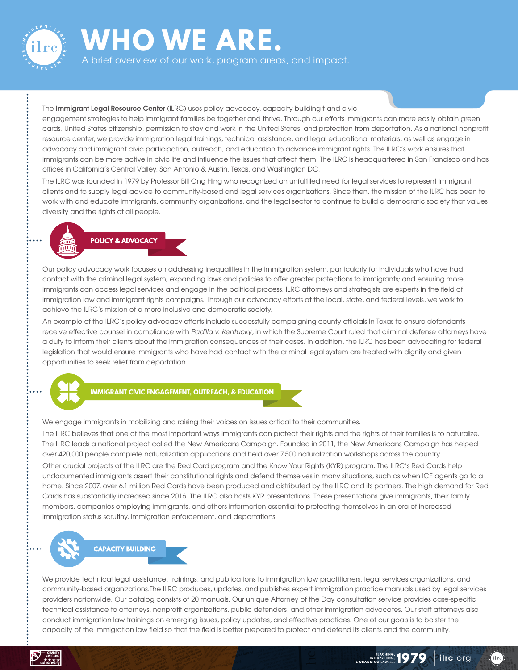

# **WHO WE ARE.**

A brief overview of our work, program areas, and impact.

#### The **Immigrant Legal Resource Center** (ILRC) uses policy advocacy, capacity building,t and civic

engagement strategies to help immigrant families be together and thrive. Through our eforts immigrants can more easily obtain green cards, United States citizenship, permission to stay and work in the United States, and protection from deportation. As a national nonproft resource center, we provide immigration legal trainings, technical assistance, and legal educational materials, as well as engage in advocacy and immigrant civic participation, outreach, and education to advance immigrant rights. The ILRC's work ensures that immigrants can be more active in civic life and infuence the issues that afect them. The ILRC is headquartered in San Francisco and has ofices in California's Central Valley, San Antonio & Austin, Texas, and Washington DC.

The ILRC was founded in 1979 by Professor Bill Ong Hing who recognized an unfulflled need for legal services to represent immigrant clients and to supply legal advice to community-based and legal services organizations. Since then, the mission of the ILRC has been to work with and educate immigrants, community organizations, and the legal sector to continue to build a democratic society that values diversity and the rights of all people.



Our policy advocacy work focuses on addressing inequalities in the immigration system, particularly for individuals who have had contact with the criminal legal system; expanding laws and policies to ofer greater protections to immigrants; and ensuring more immigrants can access legal services and engage in the political process. ILRC attorneys and strategists are experts in the feld of immigration law and immigrant rights campaigns. Through our advocacy eforts at the local, state, and federal levels, we work to achieve the ILRC's mission of a more inclusive and democratic society.

An example of the ILRC's policy advocacy eforts include successfully campaigning county oficials In Texas to ensure defendants receive efective counsel in compliance with *Padilla v. Kentucky*, in which the Supreme Court ruled that criminal defense attorneys have a duty to inform their clients about the immigration consequences of their cases. In addition, the ILRC has been advocating for federal legislation that would ensure immigrants who have had contact with the criminal legal system are treated with dignity and given opportunities to seek relief from deportation.



**IMMIGRANT CIVIC ENGAGEMENT, OUTREACH, & EDUCATION**

We engage immigrants in mobilizing and raising their voices on issues critical to their communities.

The ILRC believes that one of the most important ways immigrants can protect their rights and the rights of their families is to naturalize. The ILRC leads a national project called the New Americans Campaign. Founded in 2011, the New Americans Campaign has helped over 420,000 people complete naturalization applications and held over 7,500 naturalization workshops across the country. Other crucial projects of the ILRC are the Red Card program and the Know Your Rights (KYR) program. The ILRC's Red Cards help undocumented immigrants assert their constitutional rights and defend themselves in many situations, such as when ICE agents go to a home. Since 2007, over 6.1 million Red Cards have been produced and distributed by the ILRC and its partners. The high demand for Red Cards has substantially increased since 2016. The ILRC also hosts KYR presentations. These presentations give immigrants, their family members, companies employing immigrants, and others information essential to protecting themselves in an era of increased immigration status scrutiny, immigration enforcement, and deportations.



We provide technical legal assistance, trainings, and publications to immigration law practitioners, legal services organizations, and community-based organizations.The ILRC produces, updates, and publishes expert immigration practice manuals used by legal services providers nationwide. Our catalog consists of 20 manuals. Our unique Attorney of the Day consultation service provides case-specifc technical assistance to attorneys, nonprofit organizations, public defenders, and other immigration advocates. Our staff attorneys also conduct immigration law trainings on emerging issues, policy updates, and efective practices. One of our goals is to bolster the capacity of the immigration law feld so that the feld is better prepared to protect and defend its clients and the community.

**ilrc**.org

 $\eta_{\rm ilre}$ 

TEACHING, 1979